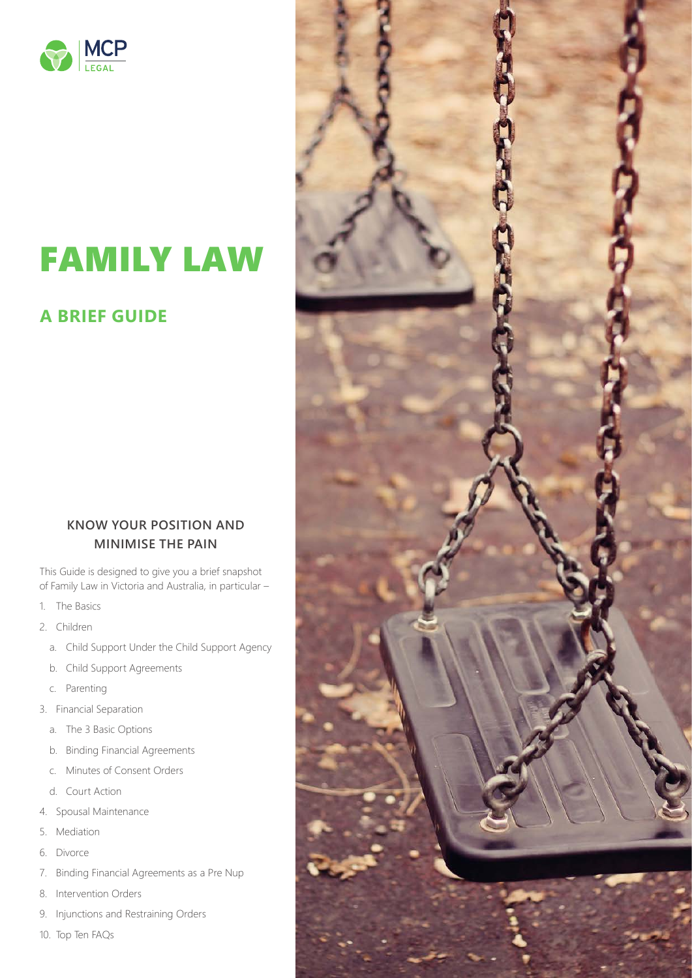

### FAMILY LAW

#### **A BRIEF GUIDE**

#### **KNOW YOUR POSITION AND MINIMISE THE PAIN**

This Guide is designed to give you a brief snapshot of Family Law in Victoria and Australia, in particular –

- 1. The Basics
- 2. Children
	- a. Child Support Under the Child Support Agency
	- b. Child Support Agreements
	- c. Parenting
- 3. Financial Separation
	- a. The 3 Basic Options
	- b. Binding Financial Agreements
	- c. Minutes of Consent Orders
	- d. Court Action
- 4. Spousal Maintenance
- 5. Mediation
- 6. Divorce
- 7. Binding Financial Agreements as a Pre Nup
- 8. Intervention Orders
- 9. Injunctions and Restraining Orders
- 10. Top Ten FAQs

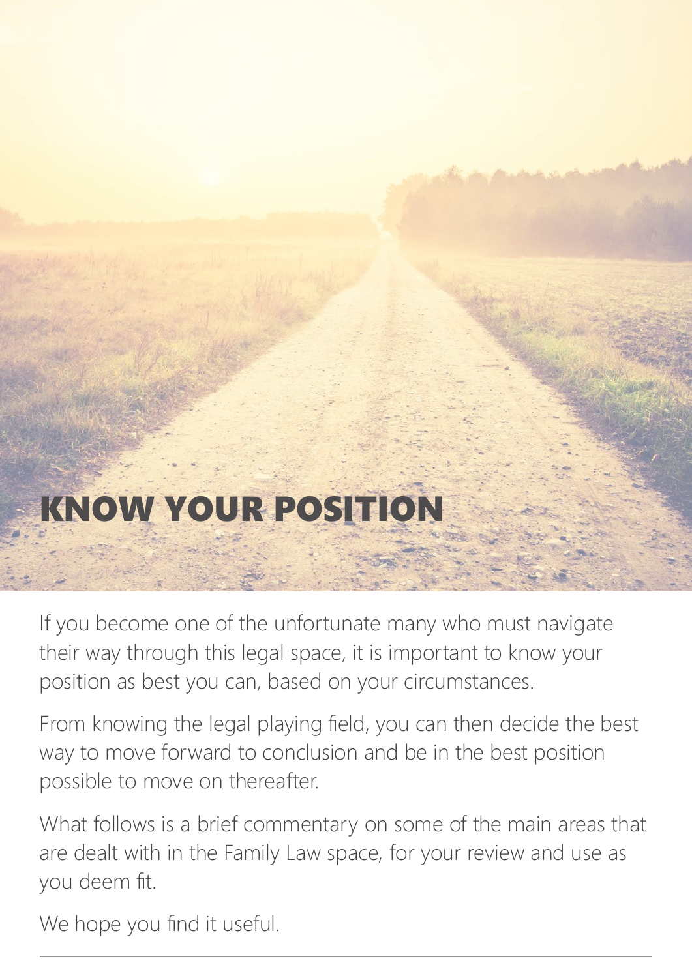# KNOW YOUR POSIT

If you become one of the unfortunate many who must navigate their way through this legal space, it is important to know your position as best you can, based on your circumstances.

From knowing the legal playing field, you can then decide the best way to move forward to conclusion and be in the best position possible to move on thereafter.

What follows is a brief commentary on some of the main areas that are dealt with in the Family Law space, for your review and use as you deem fit.

We hope you find it useful.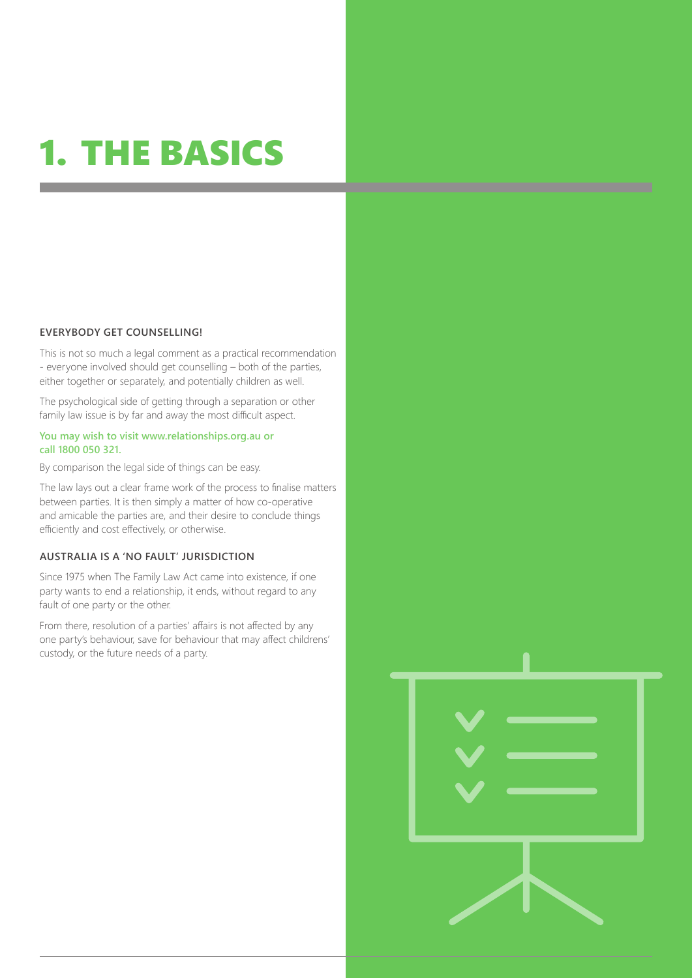## 1. THE BASICS

#### **EVERYBODY GET COUNSELLING!**

This is not so much a legal comment as a practical recommendation - everyone involved should get counselling – both of the parties, either together or separately, and potentially children as well.

The psychological side of getting through a separation or other family law issue is by far and away the most difficult aspect.

#### **You may wish to visit www.relationships.org.au or call 1800 050 321.**

By comparison the legal side of things can be easy.

The law lays out a clear frame work of the process to finalise matters between parties. It is then simply a matter of how co-operative and amicable the parties are, and their desire to conclude things efficiently and cost effectively, or otherwise.

#### **AUSTRALIA IS A 'NO FAULT' JURISDICTION**

Since 1975 when The Family Law Act came into existence, if one party wants to end a relationship, it ends, without regard to any fault of one party or the other.

From there, resolution of a parties' affairs is not affected by any one party's behaviour, save for behaviour that may affect childrens' custody, or the future needs of a party.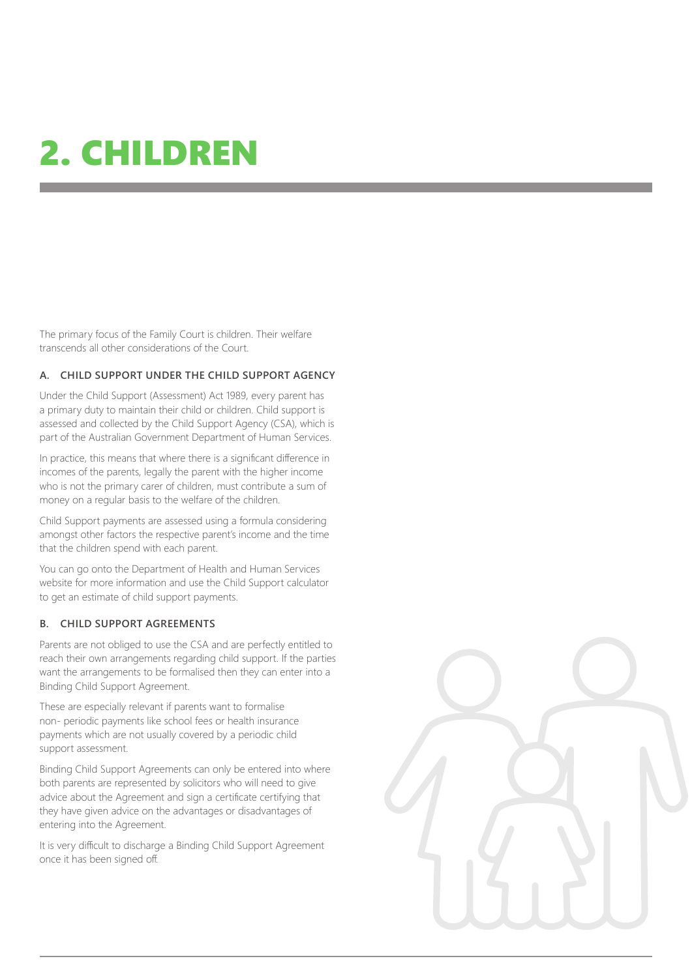# 2. CHILDREN

The primary focus of the Family Court is children. Their welfare transcends all other considerations of the Court.

#### **A. CHILD SUPPORT UNDER THE CHILD SUPPORT AGENCY**

Under the Child Support (Assessment) Act 1989, every parent has a primary duty to maintain their child or children. Child support is assessed and collected by the Child Support Agency (CSA), which is part of the Australian Government Department of Human Services.

In practice, this means that where there is a significant difference in incomes of the parents, legally the parent with the higher income who is not the primary carer of children, must contribute a sum of money on a regular basis to the welfare of the children.

Child Support payments are assessed using a formula considering amongst other factors the respective parent's income and the time that the children spend with each parent.

You can go onto the Department of Health and Human Services website for more information and use the Child Support calculator to get an estimate of child support payments.

#### **B. CHILD SUPPORT AGREEMENTS**

Parents are not obliged to use the CSA and are perfectly entitled to reach their own arrangements regarding child support. If the parties want the arrangements to be formalised then they can enter into a Binding Child Support Agreement.

These are especially relevant if parents want to formalise non- periodic payments like school fees or health insurance payments which are not usually covered by a periodic child support assessment.

Binding Child Support Agreements can only be entered into where both parents are represented by solicitors who will need to give advice about the Agreement and sign a certificate certifying that they have given advice on the advantages or disadvantages of entering into the Agreement.

It is very difficult to discharge a Binding Child Support Agreement once it has been signed off.

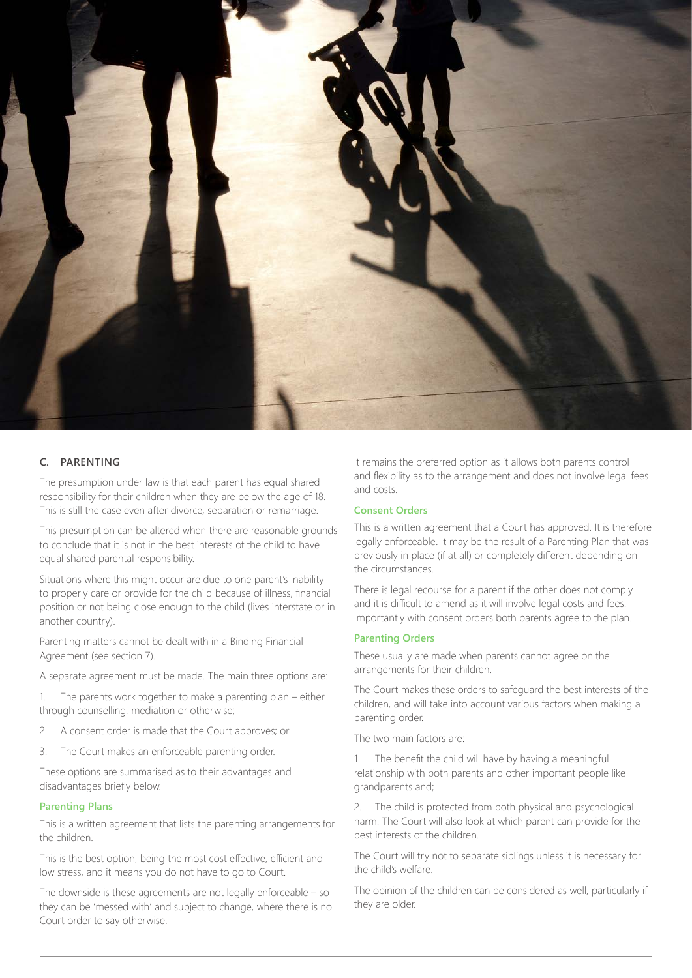

#### **C. PARENTING**

The presumption under law is that each parent has equal shared responsibility for their children when they are below the age of 18. This is still the case even after divorce, separation or remarriage.

This presumption can be altered when there are reasonable grounds to conclude that it is not in the best interests of the child to have equal shared parental responsibility.

Situations where this might occur are due to one parent's inability to properly care or provide for the child because of illness, financial position or not being close enough to the child (lives interstate or in another country).

Parenting matters cannot be dealt with in a Binding Financial Agreement (see section 7).

A separate agreement must be made. The main three options are:

1. The parents work together to make a parenting plan – either through counselling, mediation or otherwise;

- 2. A consent order is made that the Court approves; or
- 3. The Court makes an enforceable parenting order.

These options are summarised as to their advantages and disadvantages briefly below.

#### **Parenting Plans**

This is a written agreement that lists the parenting arrangements for the children.

This is the best option, being the most cost effective, efficient and low stress, and it means you do not have to go to Court.

The downside is these agreements are not legally enforceable – so they can be 'messed with' and subject to change, where there is no Court order to say otherwise.

It remains the preferred option as it allows both parents control and flexibility as to the arrangement and does not involve legal fees and costs.

#### **Consent Orders**

This is a written agreement that a Court has approved. It is therefore legally enforceable. It may be the result of a Parenting Plan that was previously in place (if at all) or completely different depending on the circumstances.

There is legal recourse for a parent if the other does not comply and it is difficult to amend as it will involve legal costs and fees. Importantly with consent orders both parents agree to the plan.

#### **Parenting Orders**

These usually are made when parents cannot agree on the arrangements for their children.

The Court makes these orders to safeguard the best interests of the children, and will take into account various factors when making a parenting order.

The two main factors are:

1. The benefit the child will have by having a meaningful relationship with both parents and other important people like grandparents and;

2. The child is protected from both physical and psychological harm. The Court will also look at which parent can provide for the best interests of the children.

The Court will try not to separate siblings unless it is necessary for the child's welfare.

The opinion of the children can be considered as well, particularly if they are older.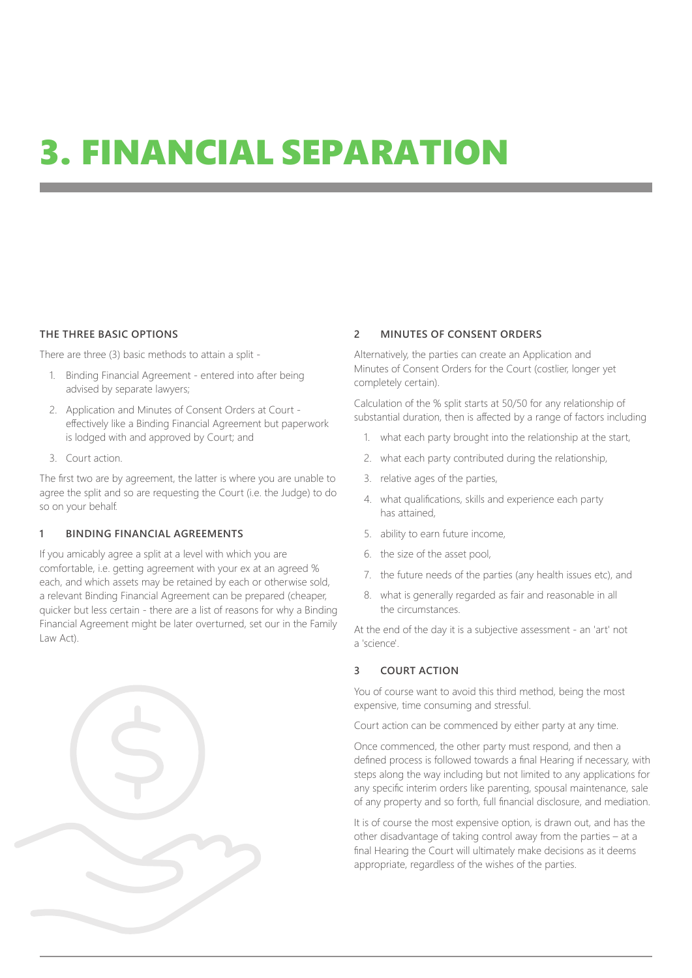### 3. FINANCIAL SEPARATION

#### **THE THREE BASIC OPTIONS**

There are three (3) basic methods to attain a split -

- 1. Binding Financial Agreement entered into after being advised by separate lawyers;
- 2. Application and Minutes of Consent Orders at Court effectively like a Binding Financial Agreement but paperwork is lodged with and approved by Court; and
- 3. Court action.

The first two are by agreement, the latter is where you are unable to agree the split and so are requesting the Court (i.e. the Judge) to do so on your behalf.

#### **1 BINDING FINANCIAL AGREEMENTS**

If you amicably agree a split at a level with which you are comfortable, i.e. getting agreement with your ex at an agreed % each, and which assets may be retained by each or otherwise sold, a relevant Binding Financial Agreement can be prepared (cheaper, quicker but less certain - there are a list of reasons for why a Binding Financial Agreement might be later overturned, set our in the Family Law Act).



#### **2 MINUTES OF CONSENT ORDERS**

Alternatively, the parties can create an Application and Minutes of Consent Orders for the Court (costlier, longer yet completely certain).

Calculation of the % split starts at 50/50 for any relationship of substantial duration, then is affected by a range of factors including

- 1. what each party brought into the relationship at the start,
- 2. what each party contributed during the relationship,
- 3. relative ages of the parties,
- 4. what qualifications, skills and experience each party has attained,
- 5. ability to earn future income,
- 6. the size of the asset pool,
- 7. the future needs of the parties (any health issues etc), and
- 8. what is generally regarded as fair and reasonable in all the circumstances.

At the end of the day it is a subjective assessment - an 'art' not a 'science'.

#### **3 COURT ACTION**

You of course want to avoid this third method, being the most expensive, time consuming and stressful.

Court action can be commenced by either party at any time.

Once commenced, the other party must respond, and then a defined process is followed towards a final Hearing if necessary, with steps along the way including but not limited to any applications for any specific interim orders like parenting, spousal maintenance, sale of any property and so forth, full financial disclosure, and mediation.

It is of course the most expensive option, is drawn out, and has the other disadvantage of taking control away from the parties – at a final Hearing the Court will ultimately make decisions as it deems appropriate, regardless of the wishes of the parties.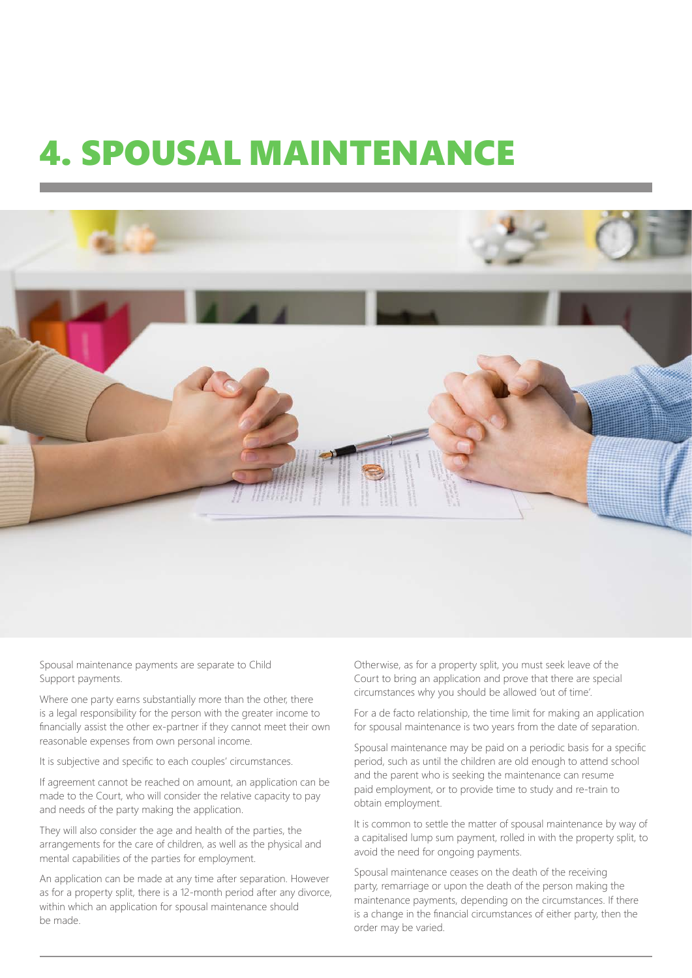### 4. SPOUSAL MAINTENANCE



Spousal maintenance payments are separate to Child Support payments.

Where one party earns substantially more than the other, there is a legal responsibility for the person with the greater income to financially assist the other ex-partner if they cannot meet their own reasonable expenses from own personal income.

It is subjective and specific to each couples' circumstances.

If agreement cannot be reached on amount, an application can be made to the Court, who will consider the relative capacity to pay and needs of the party making the application.

They will also consider the age and health of the parties, the arrangements for the care of children, as well as the physical and mental capabilities of the parties for employment.

An application can be made at any time after separation. However as for a property split, there is a 12-month period after any divorce, within which an application for spousal maintenance should be made.

Otherwise, as for a property split, you must seek leave of the Court to bring an application and prove that there are special circumstances why you should be allowed 'out of time'.

For a de facto relationship, the time limit for making an application for spousal maintenance is two years from the date of separation.

Spousal maintenance may be paid on a periodic basis for a specific period, such as until the children are old enough to attend school and the parent who is seeking the maintenance can resume paid employment, or to provide time to study and re-train to obtain employment.

It is common to settle the matter of spousal maintenance by way of a capitalised lump sum payment, rolled in with the property split, to avoid the need for ongoing payments.

Spousal maintenance ceases on the death of the receiving party, remarriage or upon the death of the person making the maintenance payments, depending on the circumstances. If there is a change in the financial circumstances of either party, then the order may be varied.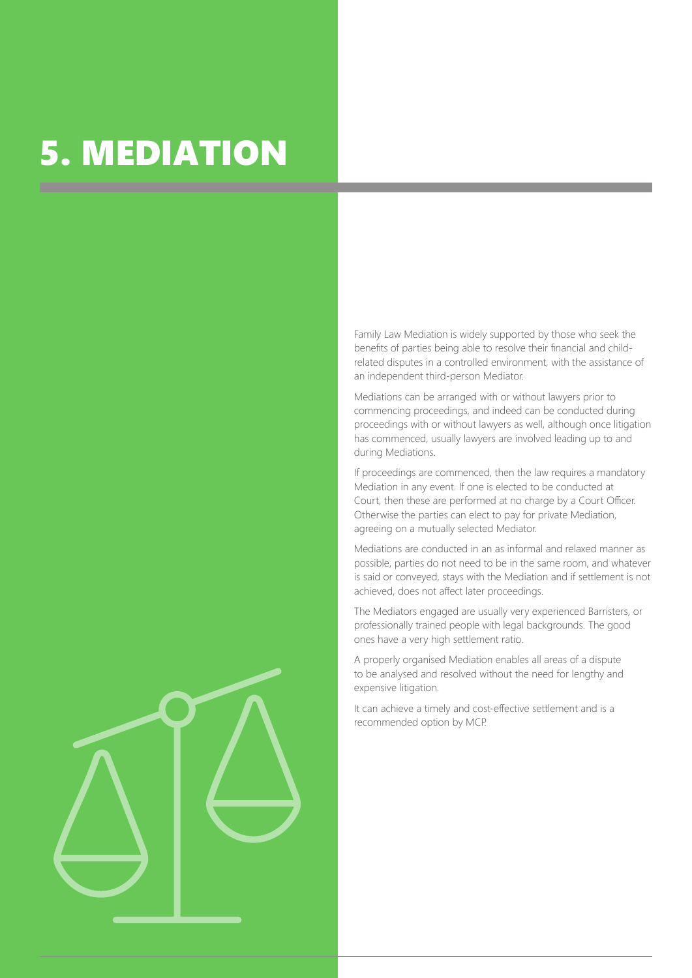### 5. MEDIATION

Family Law Mediation is widely supported by those who seek the benefits of parties being able to resolve their financial and childrelated disputes in a controlled environment, with the assistance of an independent third-person Mediator.

Mediations can be arranged with or without lawyers prior to commencing proceedings, and indeed can be conducted during proceedings with or without lawyers as well, although once litigation has commenced, usually lawyers are involved leading up to and during Mediations.

If proceedings are commenced, then the law requires a mandatory Mediation in any event. If one is elected to be conducted at Court, then these are performed at no charge by a Court Officer. Otherwise the parties can elect to pay for private Mediation, agreeing on a mutually selected Mediator.

Mediations are conducted in an as informal and relaxed manner as possible, parties do not need to be in the same room, and whatever is said or conveyed, stays with the Mediation and if settlement is not achieved, does not affect later proceedings.

The Mediators engaged are usually very experienced Barristers, or professionally trained people with legal backgrounds. The good ones have a very high settlement ratio.

A properly organised Mediation enables all areas of a dispute to be analysed and resolved without the need for lengthy and expensive litigation.

It can achieve a timely and cost-effective settlement and is a recommended option by MCP.

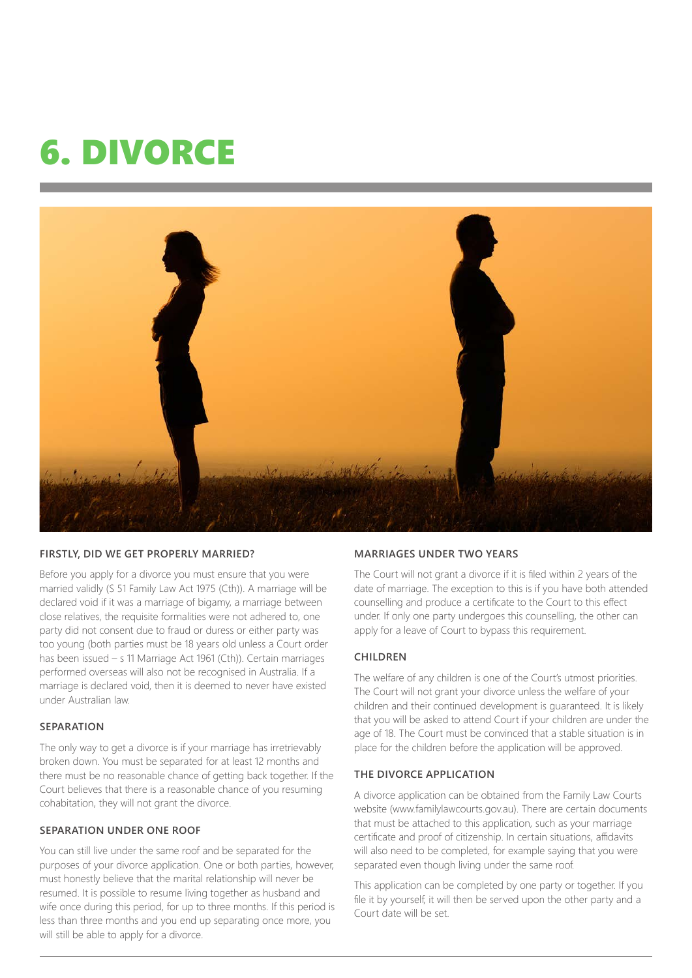### 6. DIVORCE



#### **FIRSTLY, DID WE GET PROPERLY MARRIED?**

Before you apply for a divorce you must ensure that you were married validly (S 51 Family Law Act 1975 (Cth)). A marriage will be declared void if it was a marriage of bigamy, a marriage between close relatives, the requisite formalities were not adhered to, one party did not consent due to fraud or duress or either party was too young (both parties must be 18 years old unless a Court order has been issued – s 11 Marriage Act 1961 (Cth)). Certain marriages performed overseas will also not be recognised in Australia. If a marriage is declared void, then it is deemed to never have existed under Australian law.

#### **SEPARATION**

The only way to get a divorce is if your marriage has irretrievably broken down. You must be separated for at least 12 months and there must be no reasonable chance of getting back together. If the Court believes that there is a reasonable chance of you resuming cohabitation, they will not grant the divorce.

#### **SEPARATION UNDER ONE ROOF**

You can still live under the same roof and be separated for the purposes of your divorce application. One or both parties, however, must honestly believe that the marital relationship will never be resumed. It is possible to resume living together as husband and wife once during this period, for up to three months. If this period is less than three months and you end up separating once more, you will still be able to apply for a divorce.

#### **MARRIAGES UNDER TWO YEARS**

The Court will not grant a divorce if it is filed within 2 years of the date of marriage. The exception to this is if you have both attended counselling and produce a certificate to the Court to this effect under. If only one party undergoes this counselling, the other can apply for a leave of Court to bypass this requirement.

#### **CHILDREN**

The welfare of any children is one of the Court's utmost priorities. The Court will not grant your divorce unless the welfare of your children and their continued development is guaranteed. It is likely that you will be asked to attend Court if your children are under the age of 18. The Court must be convinced that a stable situation is in place for the children before the application will be approved.

#### **THE DIVORCE APPLICATION**

A divorce application can be obtained from the Family Law Courts website (www.familylawcourts.gov.au). There are certain documents that must be attached to this application, such as your marriage certificate and proof of citizenship. In certain situations, affidavits will also need to be completed, for example saying that you were separated even though living under the same roof.

This application can be completed by one party or together. If you file it by yourself, it will then be served upon the other party and a Court date will be set.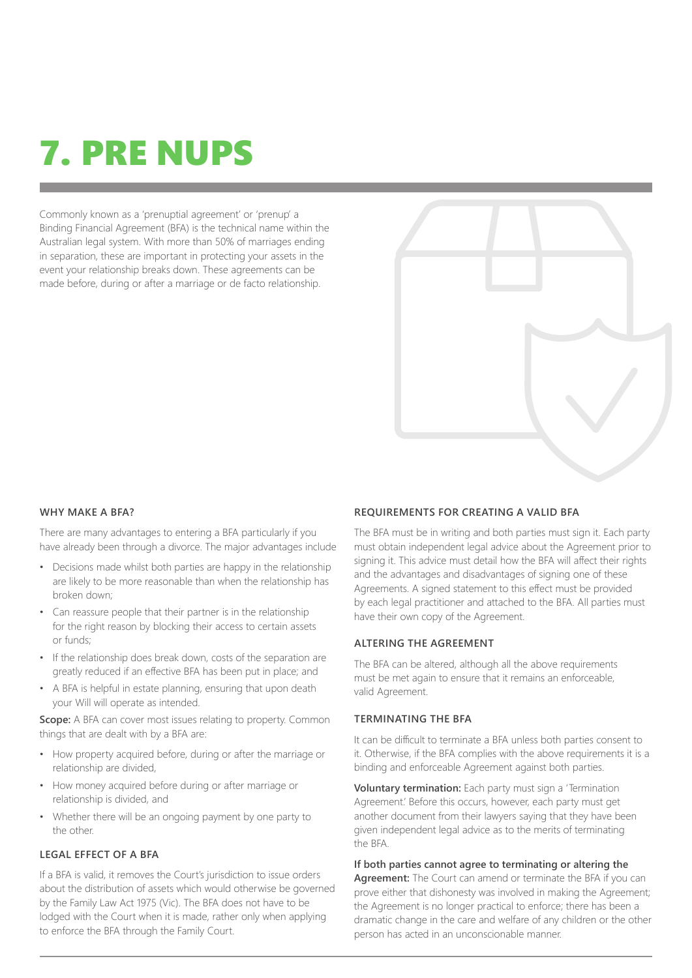## 7. PRE NUPS

Commonly known as a 'prenuptial agreement' or 'prenup' a Binding Financial Agreement (BFA) is the technical name within the Australian legal system. With more than 50% of marriages ending in separation, these are important in protecting your assets in the event your relationship breaks down. These agreements can be made before, during or after a marriage or de facto relationship.



#### **WHY MAKE A BFA?**

There are many advantages to entering a BFA particularly if you have already been through a divorce. The major advantages include

- Decisions made whilst both parties are happy in the relationship are likely to be more reasonable than when the relationship has broken down;
- Can reassure people that their partner is in the relationship for the right reason by blocking their access to certain assets or funds;
- If the relationship does break down, costs of the separation are greatly reduced if an effective BFA has been put in place; and
- A BFA is helpful in estate planning, ensuring that upon death your Will will operate as intended.

**Scope:** A BFA can cover most issues relating to property. Common things that are dealt with by a BFA are:

- How property acquired before, during or after the marriage or relationship are divided,
- How money acquired before during or after marriage or relationship is divided, and
- Whether there will be an ongoing payment by one party to the other.

#### **LEGAL EFFECT OF A BFA**

If a BFA is valid, it removes the Court's jurisdiction to issue orders about the distribution of assets which would otherwise be governed by the Family Law Act 1975 (Vic). The BFA does not have to be lodged with the Court when it is made, rather only when applying to enforce the BFA through the Family Court.

#### **REQUIREMENTS FOR CREATING A VALID BFA**

The BFA must be in writing and both parties must sign it. Each party must obtain independent legal advice about the Agreement prior to signing it. This advice must detail how the BFA will affect their rights and the advantages and disadvantages of signing one of these Agreements. A signed statement to this effect must be provided by each legal practitioner and attached to the BFA. All parties must have their own copy of the Agreement.

#### **ALTERING THE AGREEMENT**

The BFA can be altered, although all the above requirements must be met again to ensure that it remains an enforceable, valid Agreement.

#### **TERMINATING THE BFA**

It can be difficult to terminate a BFA unless both parties consent to it. Otherwise, if the BFA complies with the above requirements it is a binding and enforceable Agreement against both parties.

**Voluntary termination:** Each party must sign a 'Termination Agreement.' Before this occurs, however, each party must get another document from their lawyers saying that they have been given independent legal advice as to the merits of terminating the BFA.

**If both parties cannot agree to terminating or altering the Agreement:** The Court can amend or terminate the BFA if you can prove either that dishonesty was involved in making the Agreement; the Agreement is no longer practical to enforce; there has been a dramatic change in the care and welfare of any children or the other person has acted in an unconscionable manner.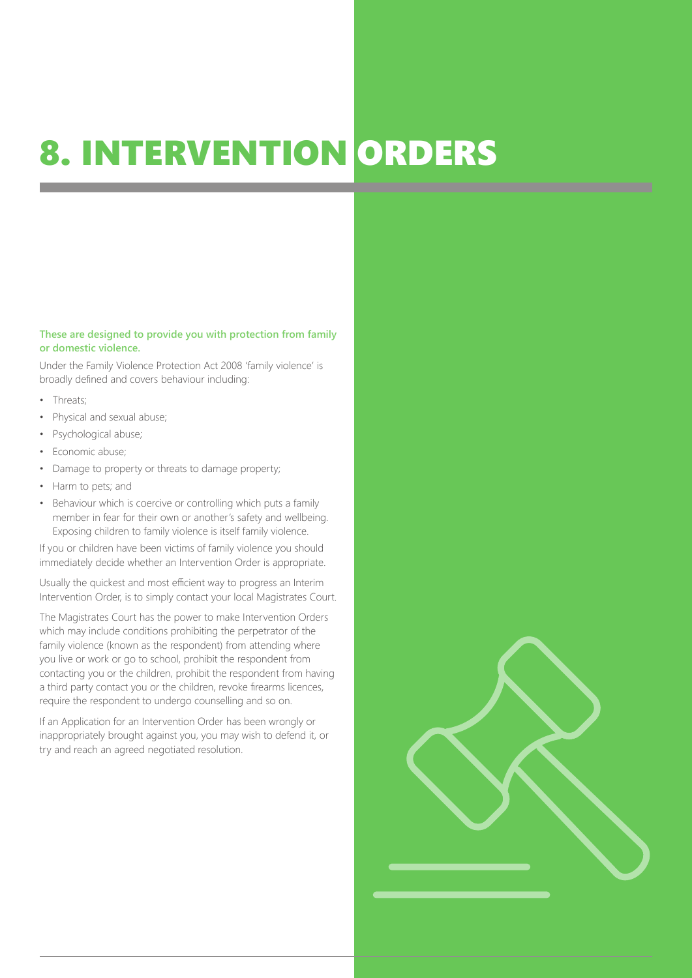# 8. INTERVENTION ORDERS

#### **These are designed to provide you with protection from family or domestic violence.**

Under the Family Violence Protection Act 2008 'family violence' is broadly defined and covers behaviour including:

- Threats;
- Physical and sexual abuse;
- Psychological abuse;
- Economic abuse;
- Damage to property or threats to damage property;
- Harm to pets; and
- Behaviour which is coercive or controlling which puts a family member in fear for their own or another's safety and wellbeing. Exposing children to family violence is itself family violence.

If you or children have been victims of family violence you should immediately decide whether an Intervention Order is appropriate.

Usually the quickest and most efficient way to progress an Interim Intervention Order, is to simply contact your local Magistrates Court.

The Magistrates Court has the power to make Intervention Orders which may include conditions prohibiting the perpetrator of the family violence (known as the respondent) from attending where you live or work or go to school, prohibit the respondent from contacting you or the children, prohibit the respondent from having a third party contact you or the children, revoke firearms licences, require the respondent to undergo counselling and so on.

If an Application for an Intervention Order has been wrongly or inappropriately brought against you, you may wish to defend it, or try and reach an agreed negotiated resolution.

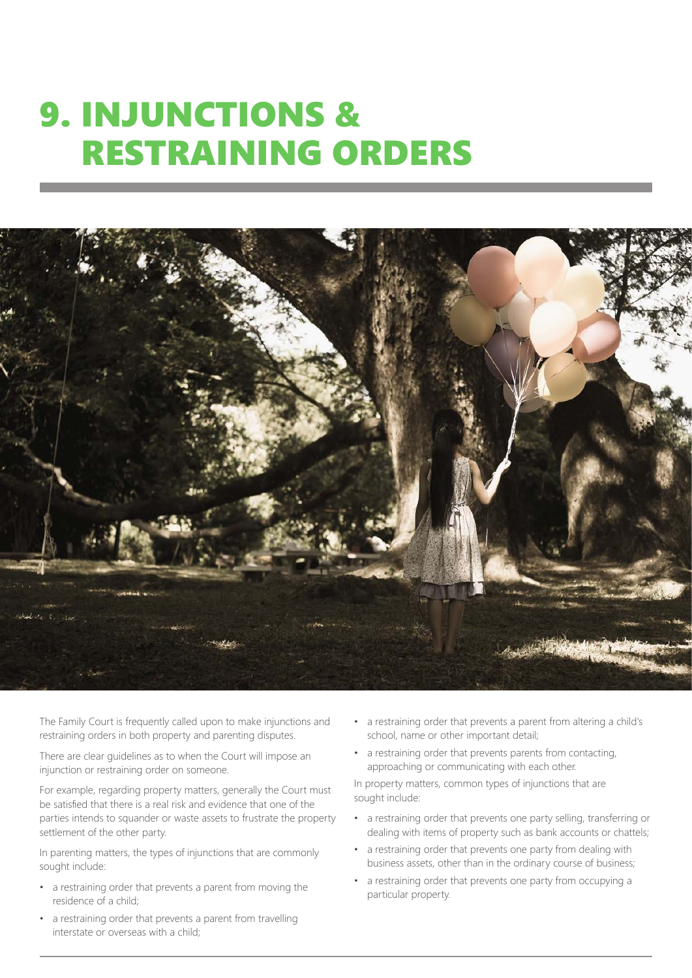### 9. INJUNCTIONS & RESTRAINING ORDERS



The Family Court is frequently called upon to make injunctions and restraining orders in both property and parenting disputes.

There are clear guidelines as to when the Court will impose an injunction or restraining order on someone.

For example, regarding property matters, generally the Court must be satisfied that there is a real risk and evidence that one of the parties intends to squander or waste assets to frustrate the property settlement of the other party.

In parenting matters, the types of injunctions that are commonly sought include:

- a restraining order that prevents a parent from moving the residence of a child;
- a restraining order that prevents a parent from travelling interstate or overseas with a child;
- a restraining order that prevents a parent from altering a child's school, name or other important detail;
- a restraining order that prevents parents from contacting, approaching or communicating with each other.

In property matters, common types of injunctions that are sought include:

- a restraining order that prevents one party selling, transferring or dealing with items of property such as bank accounts or chattels;
- a restraining order that prevents one party from dealing with business assets, other than in the ordinary course of business;
- a restraining order that prevents one party from occupying a particular property.